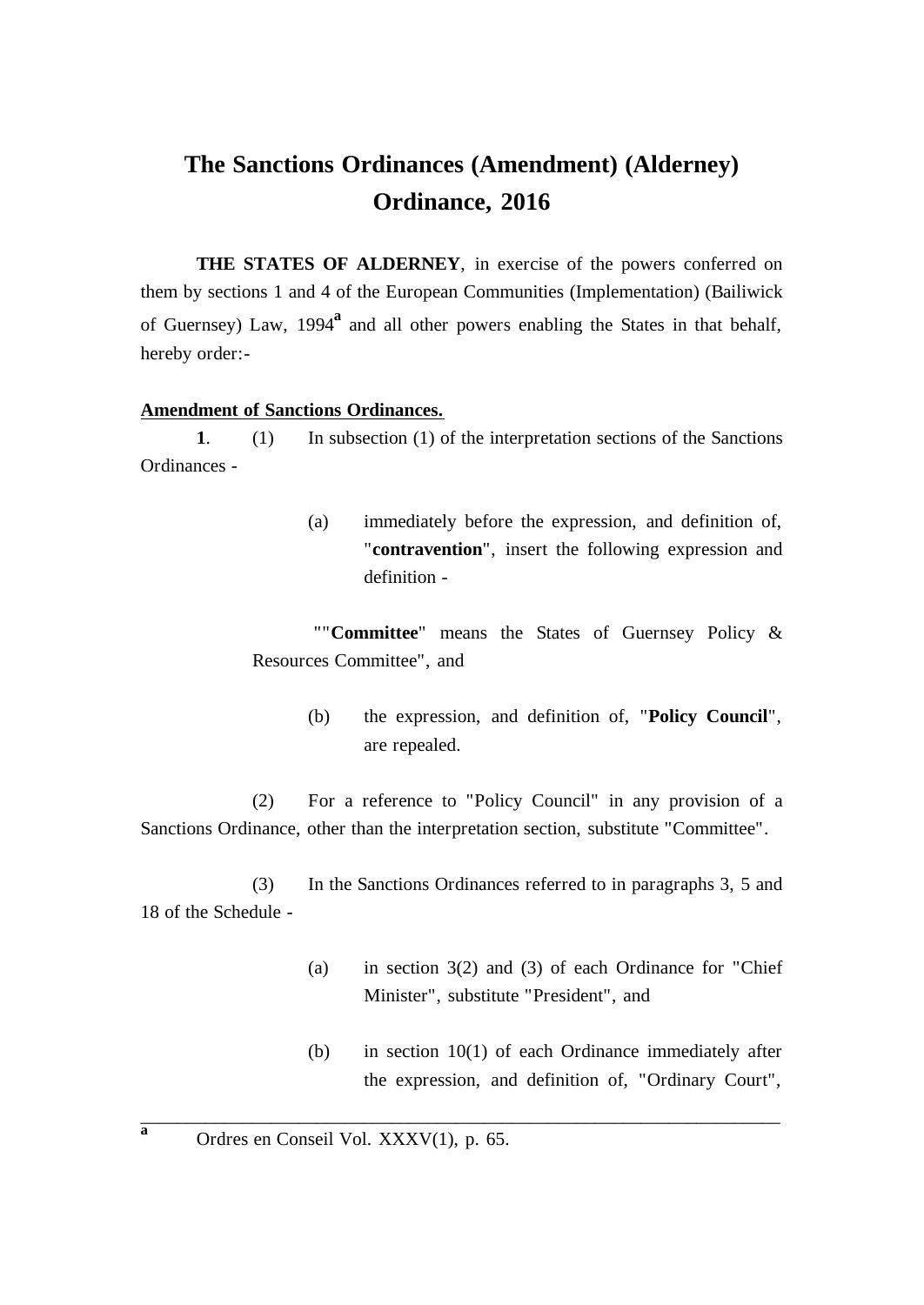# **The Sanctions Ordinances (Amendment) (Alderney) Ordinance, 2016**

**THE STATES OF ALDERNEY**, in exercise of the powers conferred on them by sections 1 and 4 of the European Communities (Implementation) (Bailiwick of Guernsey) Law, 1994**<sup>a</sup>** and all other powers enabling the States in that behalf, hereby order:-

#### **Amendment of Sanctions Ordinances.**

**1**. (1) In subsection (1) of the interpretation sections of the Sanctions Ordinances -

> (a) immediately before the expression, and definition of, "**contravention**", insert the following expression and definition -

""**Committee**" means the States of Guernsey Policy & Resources Committee", and

> (b) the expression, and definition of, "**Policy Council**", are repealed.

(2) For a reference to "Policy Council" in any provision of a Sanctions Ordinance, other than the interpretation section, substitute "Committee".

(3) In the Sanctions Ordinances referred to in paragraphs 3, 5 and 18 of the Schedule -

- (a) in section 3(2) and (3) of each Ordinance for "Chief Minister", substitute "President", and
- (b) in section 10(1) of each Ordinance immediately after the expression, and definition of, "Ordinary Court",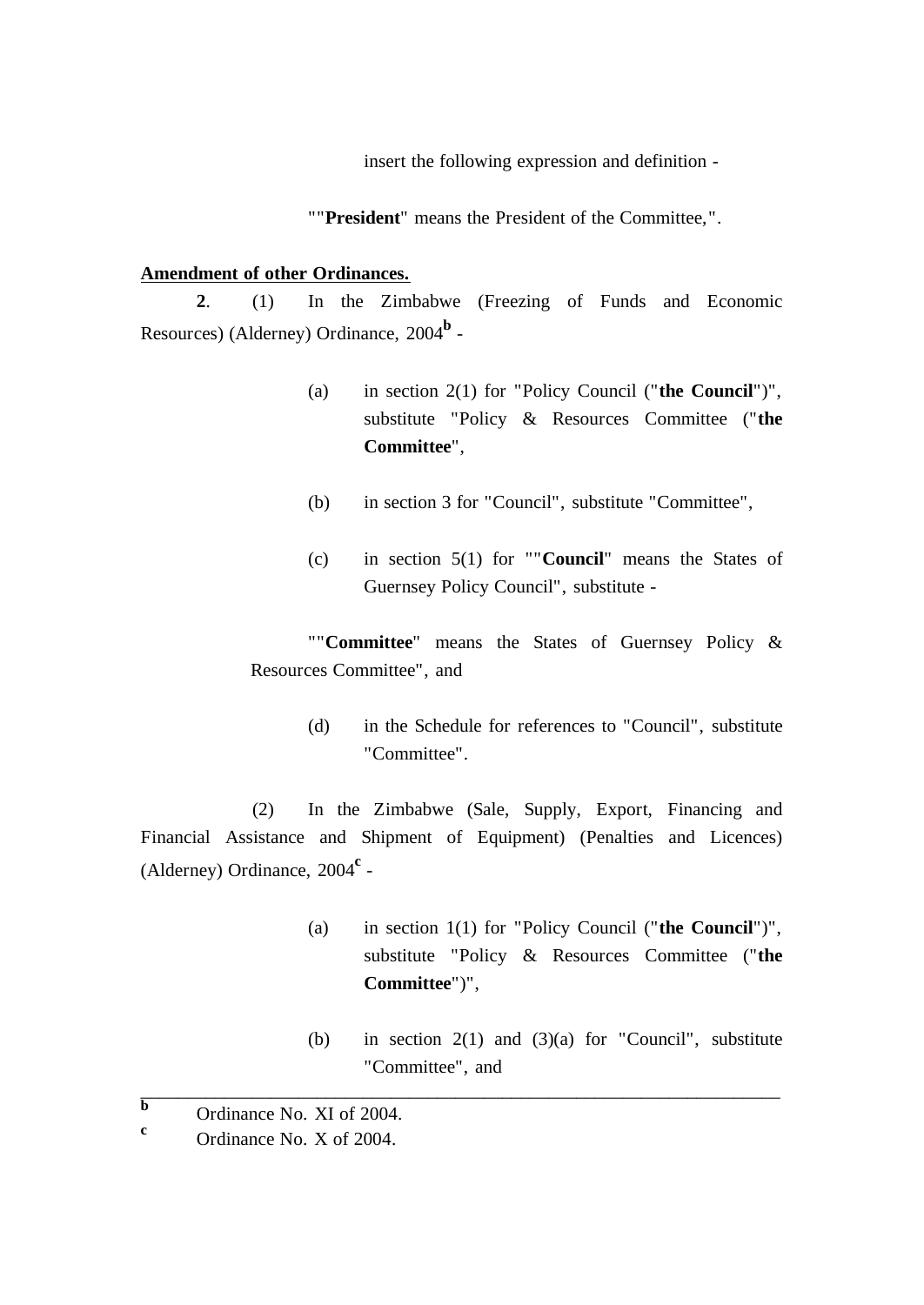insert the following expression and definition -

""**President**" means the President of the Committee,".

## **Amendment of other Ordinances.**

**2**. (1) In the Zimbabwe (Freezing of Funds and Economic Resources) (Alderney) Ordinance, 2004**<sup>b</sup>** -

- (a) in section 2(1) for "Policy Council ("**the Council**")", substitute "Policy & Resources Committee ("**the Committee**",
- (b) in section 3 for "Council", substitute "Committee",
- (c) in section 5(1) for ""**Council**" means the States of Guernsey Policy Council", substitute -

""**Committee**" means the States of Guernsey Policy & Resources Committee", and

> (d) in the Schedule for references to "Council", substitute "Committee".

(2) In the Zimbabwe (Sale, Supply, Export, Financing and Financial Assistance and Shipment of Equipment) (Penalties and Licences) (Alderney) Ordinance, 2004**<sup>c</sup>** -

- (a) in section 1(1) for "Policy Council ("**the Council**")", substitute "Policy & Resources Committee ("**the Committee**")",
- (b) in section  $2(1)$  and  $(3)(a)$  for "Council", substitute "Committee", and

 $\overline{b}$  Ordinance No. XI of 2004.

**<sup>c</sup>** Ordinance No. X of 2004.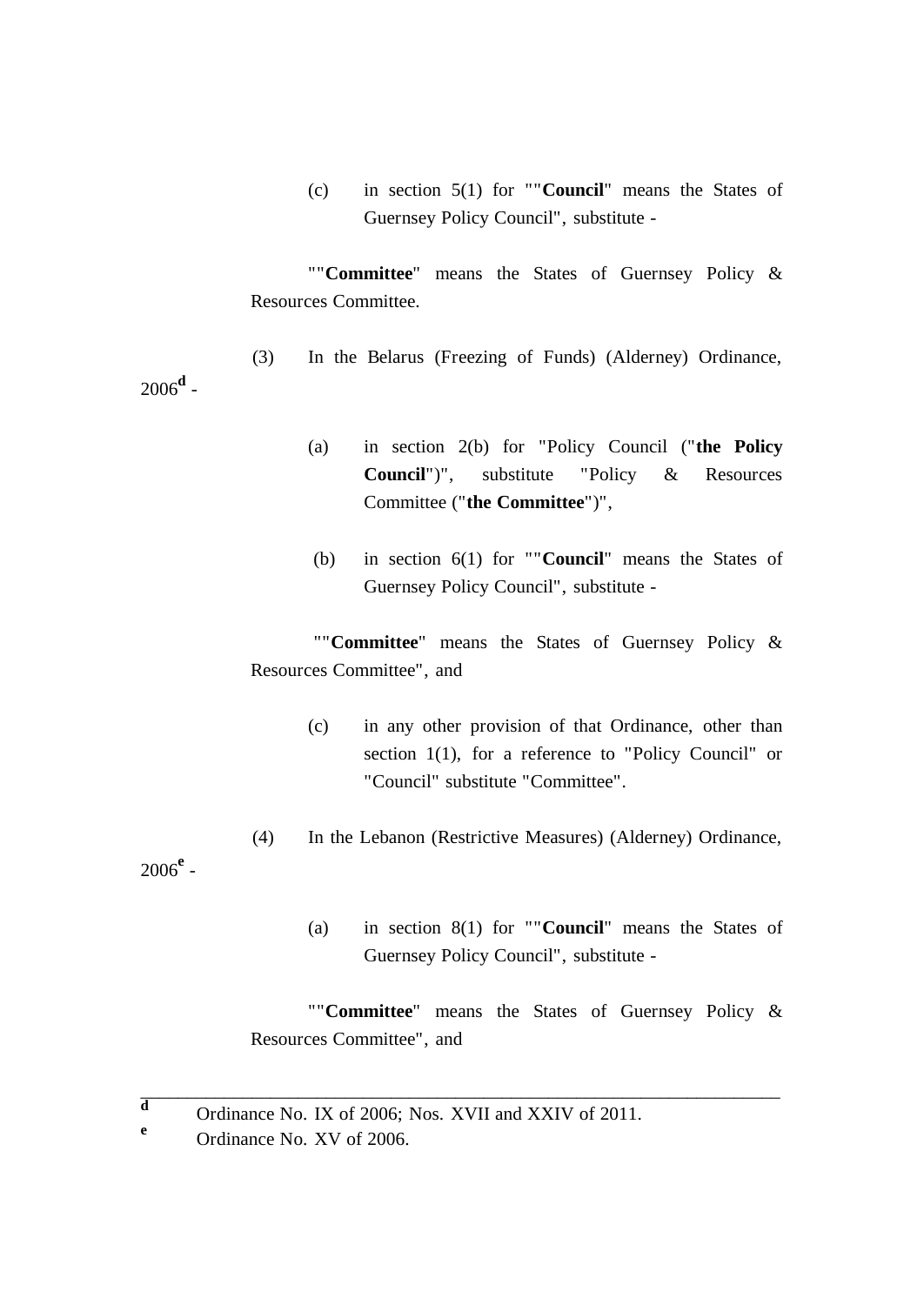(c) in section 5(1) for ""**Council**" means the States of Guernsey Policy Council", substitute -

""**Committee**" means the States of Guernsey Policy & Resources Committee.

- (3) In the Belarus (Freezing of Funds) (Alderney) Ordinance,
	- (a) in section 2(b) for "Policy Council ("**the Policy Council**")", substitute "Policy & Resources Committee ("**the Committee**")",
	- (b) in section 6(1) for ""**Council**" means the States of Guernsey Policy Council", substitute -

""**Committee**" means the States of Guernsey Policy & Resources Committee", and

- (c) in any other provision of that Ordinance, other than section 1(1), for a reference to "Policy Council" or "Council" substitute "Committee".
- (4) In the Lebanon (Restrictive Measures) (Alderney) Ordinance,

2006**<sup>e</sup>** -

2006**<sup>d</sup>** -

(a) in section 8(1) for ""**Council**" means the States of Guernsey Policy Council", substitute -

""**Committee**" means the States of Guernsey Policy & Resources Committee", and

**d** Ordinance No. IX of 2006; Nos. XVII and XXIV of 2011.

**<sup>e</sup>** Ordinance No. XV of 2006.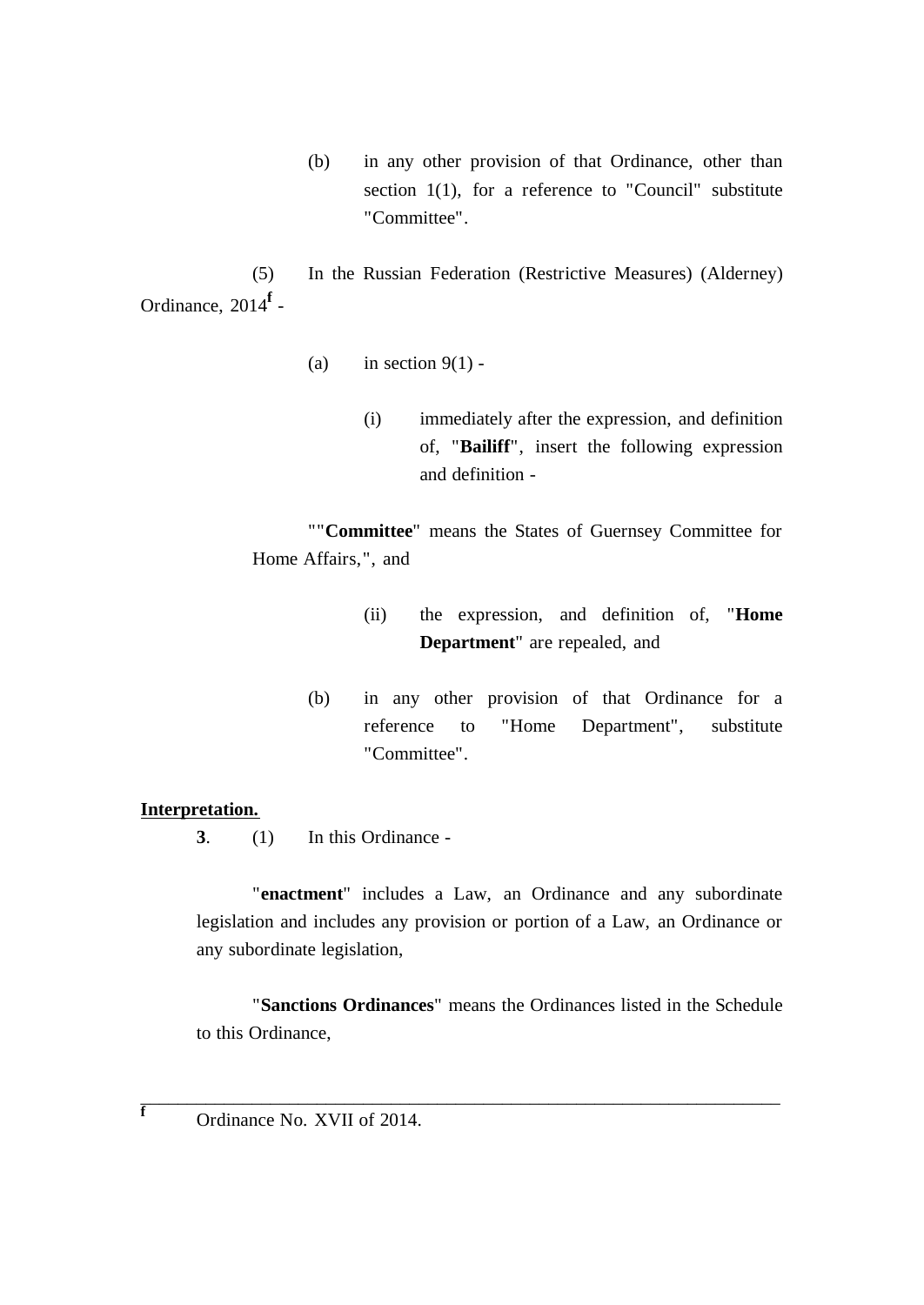(b) in any other provision of that Ordinance, other than section 1(1), for a reference to "Council" substitute "Committee".

(5) In the Russian Federation (Restrictive Measures) (Alderney) Ordinance, 2014**<sup>f</sup>** -

- (a) in section  $9(1)$  -
	- (i) immediately after the expression, and definition of, "**Bailiff**", insert the following expression and definition -

""**Committee**" means the States of Guernsey Committee for Home Affairs,", and

- (ii) the expression, and definition of, "**Home Department**" are repealed, and
- (b) in any other provision of that Ordinance for a reference to "Home Department", substitute "Committee".

# **Interpretation.**

**3**. (1) In this Ordinance -

"**enactment**" includes a Law, an Ordinance and any subordinate legislation and includes any provision or portion of a Law, an Ordinance or any subordinate legislation,

"**Sanctions Ordinances**" means the Ordinances listed in the Schedule to this Ordinance,

 $\overline{\phantom{a}}$  , and the contribution of the contribution of the contribution of the contribution of the contribution of  $\overline{\phantom{a}}$ 

**<sup>f</sup>** Ordinance No. XVII of 2014.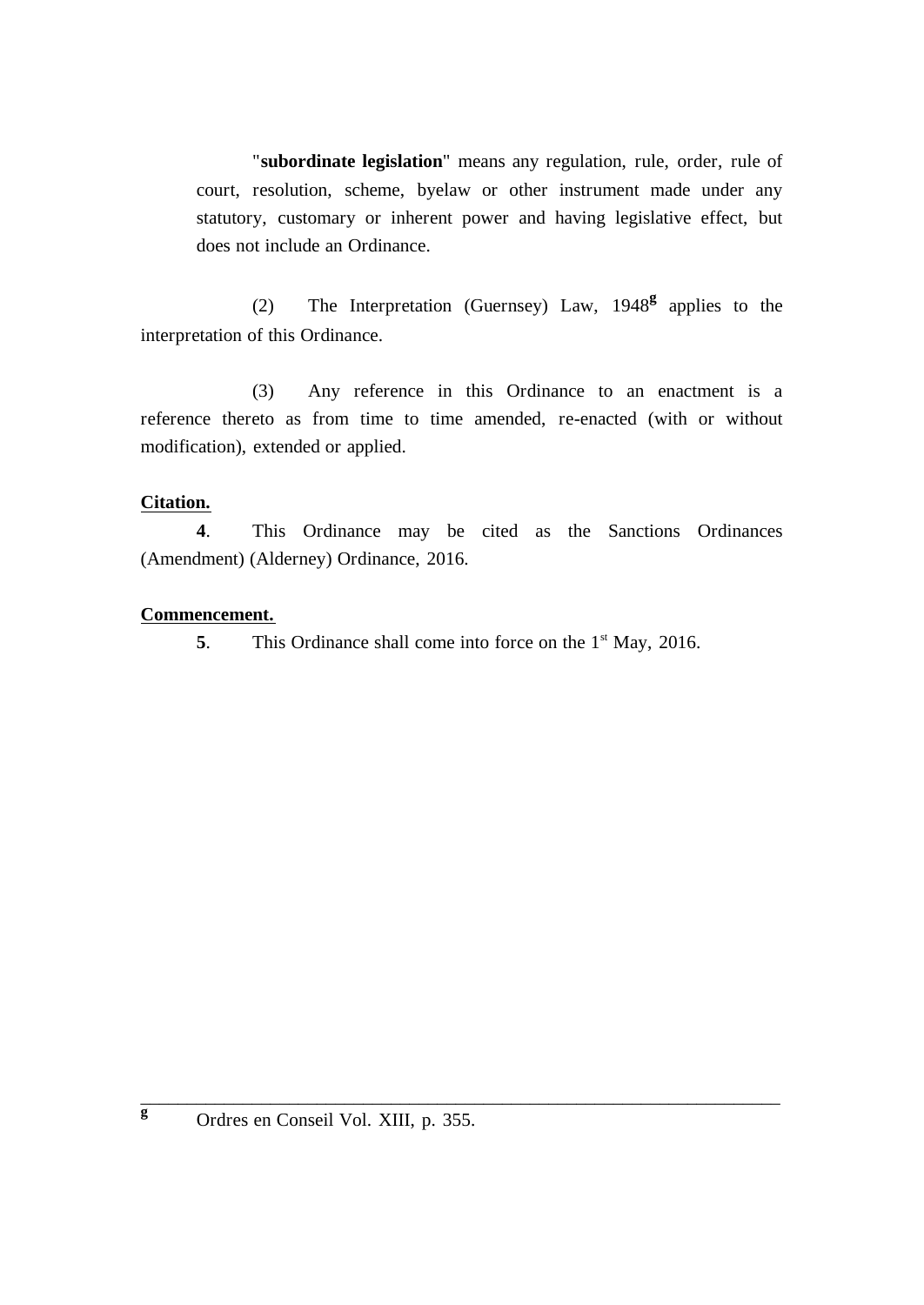"**subordinate legislation**" means any regulation, rule, order, rule of court, resolution, scheme, byelaw or other instrument made under any statutory, customary or inherent power and having legislative effect, but does not include an Ordinance.

(2) The Interpretation (Guernsey) Law, 1948**<sup>g</sup>** applies to the interpretation of this Ordinance.

(3) Any reference in this Ordinance to an enactment is a reference thereto as from time to time amended, re-enacted (with or without modification), extended or applied.

## **Citation.**

**4**. This Ordinance may be cited as the Sanctions Ordinances (Amendment) (Alderney) Ordinance, 2016.

## **Commencement.**

**5**. This Ordinance shall come into force on the 1<sup>st</sup> May, 2016.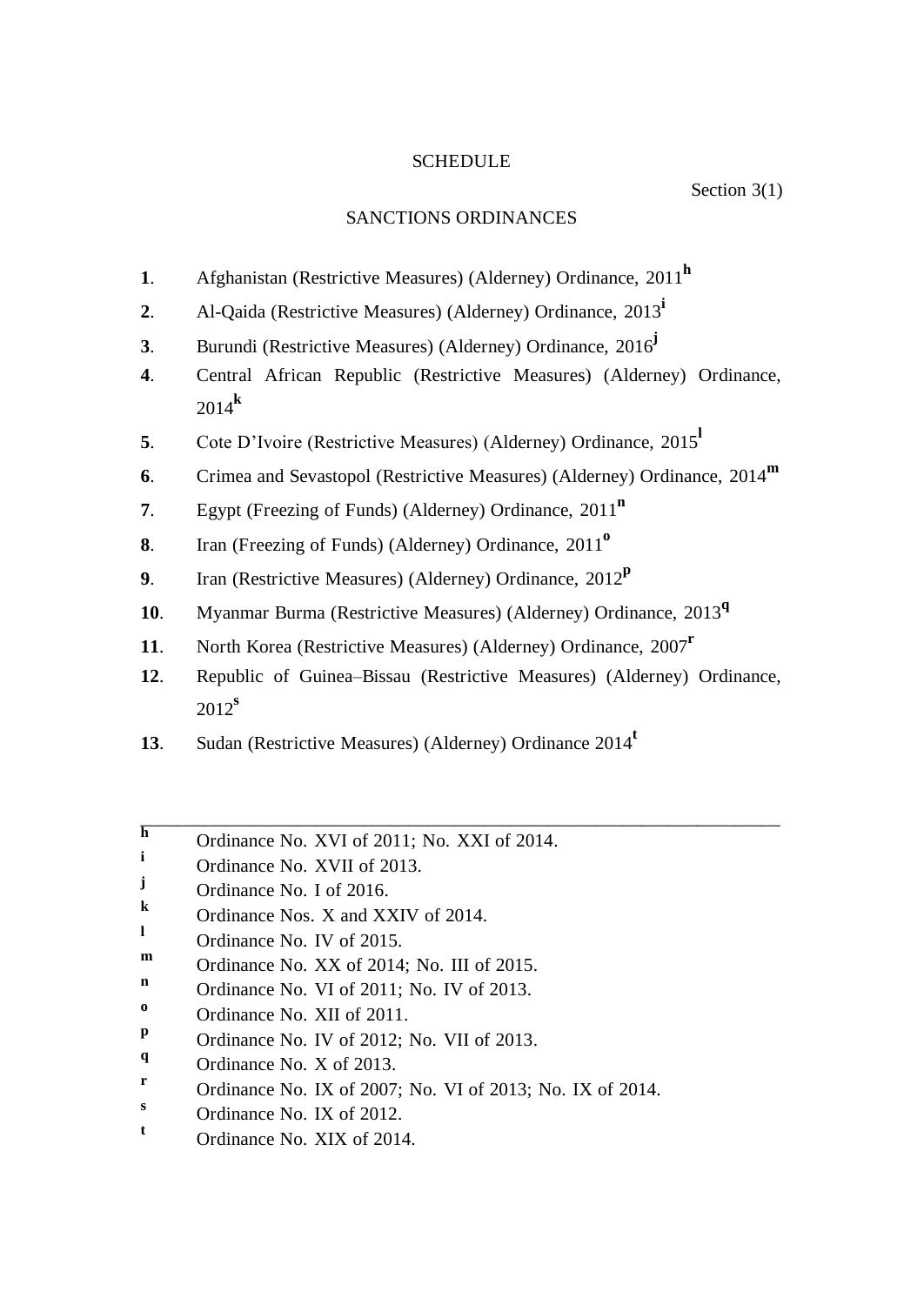## **SCHEDULE**

#### Section 3(1)

## SANCTIONS ORDINANCES

- **1**. Afghanistan (Restrictive Measures) (Alderney) Ordinance, 2011**<sup>h</sup>**
- **2**. Al-Qaida (Restrictive Measures) (Alderney) Ordinance, 2013**<sup>i</sup>**
- **3**. Burundi (Restrictive Measures) (Alderney) Ordinance, 2016 **j**
- **4**. Central African Republic (Restrictive Measures) (Alderney) Ordinance, 2014**<sup>k</sup>**
- **5**. Cote D'Ivoire (Restrictive Measures) (Alderney) Ordinance, 2015**<sup>l</sup>**
- **6**. Crimea and Sevastopol (Restrictive Measures) (Alderney) Ordinance, 2014**<sup>m</sup>**
- **7**. Egypt (Freezing of Funds) (Alderney) Ordinance, 2011**<sup>n</sup>**
- **8**. Iran (Freezing of Funds) (Alderney) Ordinance, 2011**<sup>o</sup>**
- **9**. Iran (Restrictive Measures) (Alderney) Ordinance, 2012**<sup>p</sup>**
- **10**. Myanmar Burma (Restrictive Measures) (Alderney) Ordinance, 2013**<sup>q</sup>**
- **11**. North Korea (Restrictive Measures) (Alderney) Ordinance, 2007**<sup>r</sup>**
- **12**. Republic of Guinea–Bissau (Restrictive Measures) (Alderney) Ordinance, 2012**<sup>s</sup>**

- **13**. Sudan (Restrictive Measures) (Alderney) Ordinance 2014**<sup>t</sup>**
- **h** Ordinance No. XVI of 2011; No. XXI of 2014.
- **<sup>i</sup>** Ordinance No. XVII of 2013.
- **j** Ordinance No. I of 2016.
- **k** Ordinance Nos. X and XXIV of 2014.
- **l** Ordinance No. IV of 2015.
- **m** Ordinance No. XX of 2014; No. III of 2015.
- **n** Ordinance No. VI of 2011; No. IV of 2013.
- **o** Ordinance No. XII of 2011.
- **p** Ordinance No. IV of 2012; No. VII of 2013.
- **q** Ordinance No. X of 2013.
- **r** Ordinance No. IX of 2007; No. VI of 2013; No. IX of 2014.
- $\frac{s}{t}$  Ordinance No. IX of 2012.
- **<sup>t</sup>** Ordinance No. XIX of 2014.